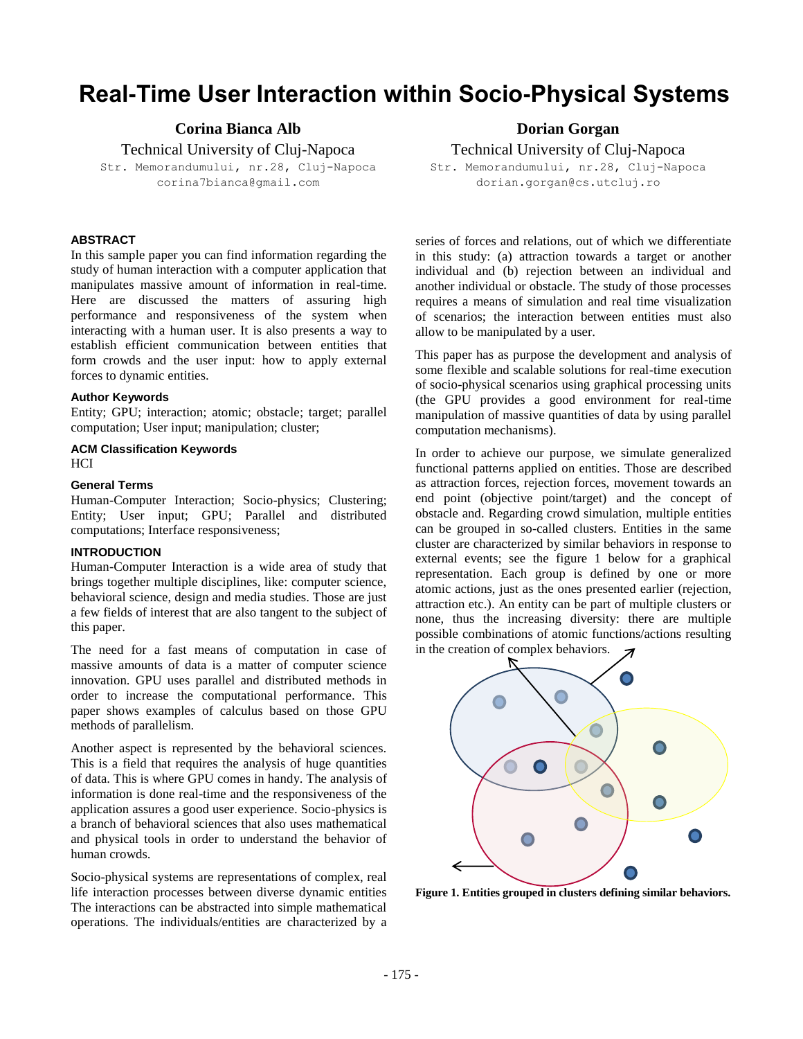# **Real-Time User Interaction within Socio-Physical Systems**

**Corina Bianca Alb** 

Technical University of Cluj-Napoca Str. Memorandumului, nr.28, Cluj-Napoca corina7bianca@gmail.com

# **ABSTRACT**

In this sample paper you can find information regarding the study of human interaction with a computer application that manipulates massive amount of information in real-time. Here are discussed the matters of assuring high performance and responsiveness of the system when interacting with a human user. It is also presents a way to establish efficient communication between entities that form crowds and the user input: how to apply external forces to dynamic entities.

## **Author Keywords**

Entity; GPU; interaction; atomic; obstacle; target; parallel computation; User input; manipulation; cluster;

## **ACM Classification Keywords** HCI

## **General Terms**

Human-Computer Interaction; Socio-physics; Clustering; Entity; User input; GPU; Parallel and distributed computations; Interface responsiveness;

## **INTRODUCTION**

Human-Computer Interaction is a wide area of study that brings together multiple disciplines, like: computer science, behavioral science, design and media studies. Those are just a few fields of interest that are also tangent to the subject of this paper.

The need for a fast means of computation in case of massive amounts of data is a matter of computer science innovation. GPU uses parallel and distributed methods in order to increase the computational performance. This paper shows examples of calculus based on those GPU methods of parallelism.

Another aspect is represented by the behavioral sciences. This is a field that requires the analysis of huge quantities of data. This is where GPU comes in handy. The analysis of information is done real-time and the responsiveness of the application assures a good user experience. Socio-physics is a branch of behavioral sciences that also uses mathematical and physical tools in order to understand the behavior of human crowds.

Socio-physical systems are representations of complex, real life interaction processes between diverse dynamic entities The interactions can be abstracted into simple mathematical operations. The individuals/entities are characterized by a

**Dorian Gorgan** 

Technical University of Cluj-Napoca

Str. Memorandumului, nr.28, Cluj-Napoca dorian.gorgan@cs.utcluj.ro

series of forces and relations, out of which we differentiate in this study: (a) attraction towards a target or another individual and (b) rejection between an individual and another individual or obstacle. The study of those processes requires a means of simulation and real time visualization of scenarios; the interaction between entities must also allow to be manipulated by a user.

This paper has as purpose the development and analysis of some flexible and scalable solutions for real-time execution of socio-physical scenarios using graphical processing units (the GPU provides a good environment for real-time manipulation of massive quantities of data by using parallel computation mechanisms).

In order to achieve our purpose, we simulate generalized functional patterns applied on entities. Those are described as attraction forces, rejection forces, movement towards an end point (objective point/target) and the concept of obstacle and. Regarding crowd simulation, multiple entities can be grouped in so-called clusters. Entities in the same cluster are characterized by similar behaviors in response to external events; see the figure 1 below for a graphical representation. Each group is defined by one or more atomic actions, just as the ones presented earlier (rejection, attraction etc.). An entity can be part of multiple clusters or none, thus the increasing diversity: there are multiple possible combinations of atomic functions/actions resulting in the creation of complex behaviors.



**Figure 1. Entities grouped in clusters defining similar behaviors.**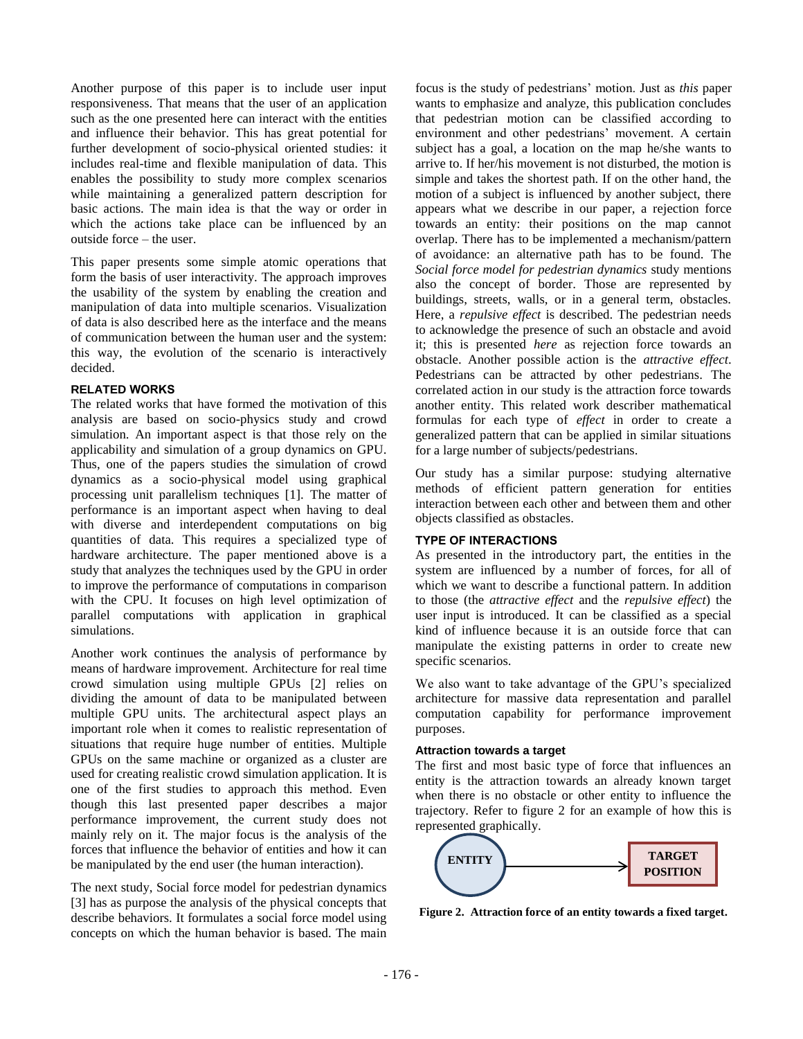Another purpose of this paper is to include user input responsiveness. That means that the user of an application such as the one presented here can interact with the entities and influence their behavior. This has great potential for further development of socio-physical oriented studies: it includes real-time and flexible manipulation of data. This enables the possibility to study more complex scenarios while maintaining a generalized pattern description for basic actions. The main idea is that the way or order in which the actions take place can be influenced by an outside force – the user.

This paper presents some simple atomic operations that form the basis of user interactivity. The approach improves the usability of the system by enabling the creation and manipulation of data into multiple scenarios. Visualization of data is also described here as the interface and the means of communication between the human user and the system: this way, the evolution of the scenario is interactively decided.

## **RELATED WORKS**

The related works that have formed the motivation of this analysis are based on socio-physics study and crowd simulation. An important aspect is that those rely on the applicability and simulation of a group dynamics on GPU. Thus, one of the papers studies the simulation of crowd dynamics as a socio-physical model using graphical processing unit parallelism techniques [1]. The matter of performance is an important aspect when having to deal with diverse and interdependent computations on big quantities of data. This requires a specialized type of hardware architecture. The paper mentioned above is a study that analyzes the techniques used by the GPU in order to improve the performance of computations in comparison with the CPU. It focuses on high level optimization of parallel computations with application in graphical simulations.

Another work continues the analysis of performance by means of hardware improvement. Architecture for real time crowd simulation using multiple GPUs [2] relies on dividing the amount of data to be manipulated between multiple GPU units. The architectural aspect plays an important role when it comes to realistic representation of situations that require huge number of entities. Multiple GPUs on the same machine or organized as a cluster are used for creating realistic crowd simulation application. It is one of the first studies to approach this method. Even though this last presented paper describes a major performance improvement, the current study does not mainly rely on it. The major focus is the analysis of the forces that influence the behavior of entities and how it can be manipulated by the end user (the human interaction).

The next study, Social force model for pedestrian dynamics [3] has as purpose the analysis of the physical concepts that describe behaviors. It formulates a social force model using concepts on which the human behavior is based. The main

focus is the study of pedestrians' motion. Just as *this* paper wants to emphasize and analyze, this publication concludes that pedestrian motion can be classified according to environment and other pedestrians' movement. A certain subject has a goal, a location on the map he/she wants to arrive to. If her/his movement is not disturbed, the motion is simple and takes the shortest path. If on the other hand, the motion of a subject is influenced by another subject, there appears what we describe in our paper, a rejection force towards an entity: their positions on the map cannot overlap. There has to be implemented a mechanism/pattern of avoidance: an alternative path has to be found. The *Social force model for pedestrian dynamics* study mentions also the concept of border. Those are represented by buildings, streets, walls, or in a general term, obstacles. Here, a *repulsive effect* is described. The pedestrian needs to acknowledge the presence of such an obstacle and avoid it; this is presented *here* as rejection force towards an obstacle. Another possible action is the *attractive effect*. Pedestrians can be attracted by other pedestrians. The correlated action in our study is the attraction force towards another entity. This related work describer mathematical formulas for each type of *effect* in order to create a generalized pattern that can be applied in similar situations for a large number of subjects/pedestrians.

Our study has a similar purpose: studying alternative methods of efficient pattern generation for entities interaction between each other and between them and other objects classified as obstacles.

# **TYPE OF INTERACTIONS**

As presented in the introductory part, the entities in the system are influenced by a number of forces, for all of which we want to describe a functional pattern. In addition to those (the *attractive effect* and the *repulsive effect*) the user input is introduced. It can be classified as a special kind of influence because it is an outside force that can manipulate the existing patterns in order to create new specific scenarios.

We also want to take advantage of the GPU's specialized architecture for massive data representation and parallel computation capability for performance improvement purposes.

## **Attraction towards a target**

The first and most basic type of force that influences an entity is the attraction towards an already known target when there is no obstacle or other entity to influence the trajectory. Refer to figure 2 for an example of how this is represented graphically.



**Figure 2. Attraction force of an entity towards a fixed target.**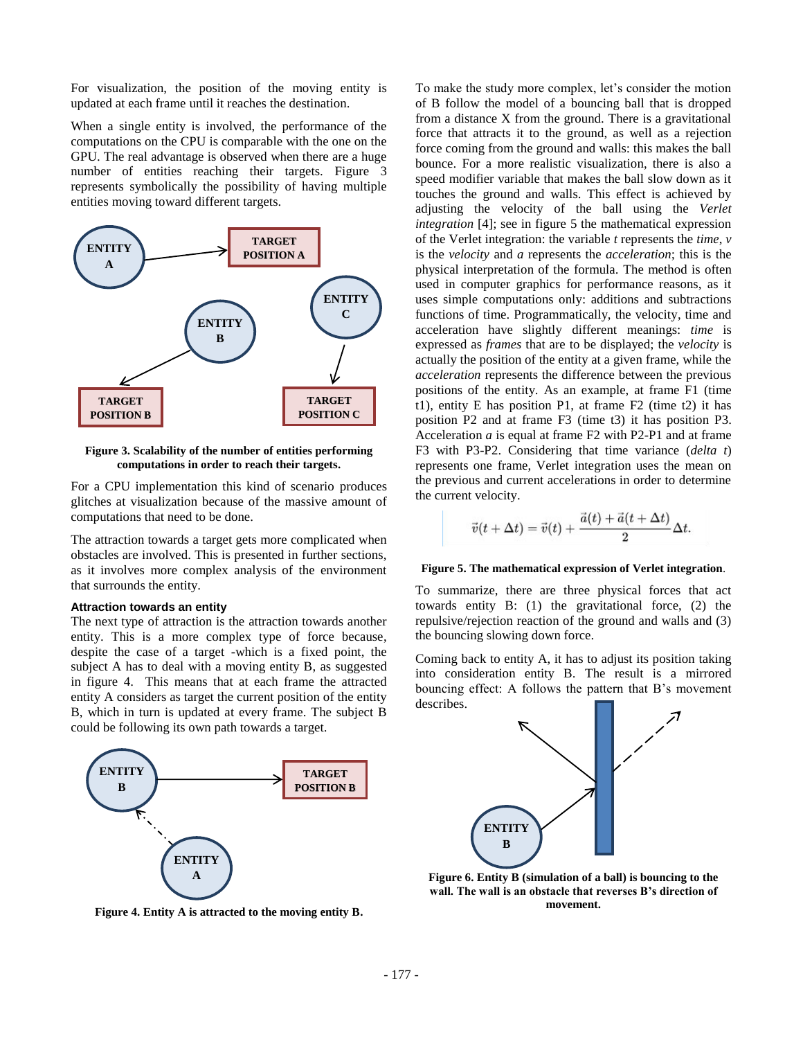For visualization, the position of the moving entity is updated at each frame until it reaches the destination.

When a single entity is involved, the performance of the computations on the CPU is comparable with the one on the GPU. The real advantage is observed when there are a huge number of entities reaching their targets. Figure 3 represents symbolically the possibility of having multiple entities moving toward different targets.



**Figure 3. Scalability of the number of entities performing computations in order to reach their targets.**

For a CPU implementation this kind of scenario produces glitches at visualization because of the massive amount of computations that need to be done.

The attraction towards a target gets more complicated when obstacles are involved. This is presented in further sections, as it involves more complex analysis of the environment that surrounds the entity.

## **Attraction towards an entity**

The next type of attraction is the attraction towards another entity. This is a more complex type of force because, despite the case of a target -which is a fixed point, the subject A has to deal with a moving entity B, as suggested in figure 4. This means that at each frame the attracted entity A considers as target the current position of the entity B, which in turn is updated at every frame. The subject B could be following its own path towards a target.



**Figure 4. Entity A is attracted to the moving entity B.**

To make the study more complex, let's consider the motion of B follow the model of a bouncing ball that is dropped from a distance X from the ground. There is a gravitational force that attracts it to the ground, as well as a rejection force coming from the ground and walls: this makes the ball bounce. For a more realistic visualization, there is also a speed modifier variable that makes the ball slow down as it touches the ground and walls. This effect is achieved by adjusting the velocity of the ball using the *Verlet integration* [4]; see in figure 5 the mathematical expression of the Verlet integration: the variable *t* represents the *time*, *v* is the *velocity* and *a* represents the *acceleration*; this is the physical interpretation of the formula. The method is often used in computer graphics for performance reasons, as it uses simple computations only: additions and subtractions functions of time. Programmatically, the velocity, time and acceleration have slightly different meanings: *time* is expressed as *frames* that are to be displayed; the *velocity* is actually the position of the entity at a given frame, while the *acceleration* represents the difference between the previous positions of the entity. As an example, at frame F1 (time t1), entity E has position P1, at frame F2 (time t2) it has position P2 and at frame F3 (time t3) it has position P3. Acceleration *a* is equal at frame F2 with P2-P1 and at frame F3 with P3-P2. Considering that time variance (*delta t*) represents one frame, Verlet integration uses the mean on the previous and current accelerations in order to determine the current velocity.

$$
\vec{v}(t+\Delta t)=\vec{v}(t)+\frac{\vec{a}(t)+\vec{a}(t+\Delta t)}{2}\Delta t.
$$

#### **Figure 5. The mathematical expression of Verlet integration**.

To summarize, there are three physical forces that act towards entity B: (1) the gravitational force, (2) the repulsive/rejection reaction of the ground and walls and (3) the bouncing slowing down force.

Coming back to entity A, it has to adjust its position taking into consideration entity B. The result is a mirrored bouncing effect: A follows the pattern that B's movement describes.



**Figure 6. Entity B (simulation of a ball) is bouncing to the wall. The wall is an obstacle that reverses B's direction of movement.**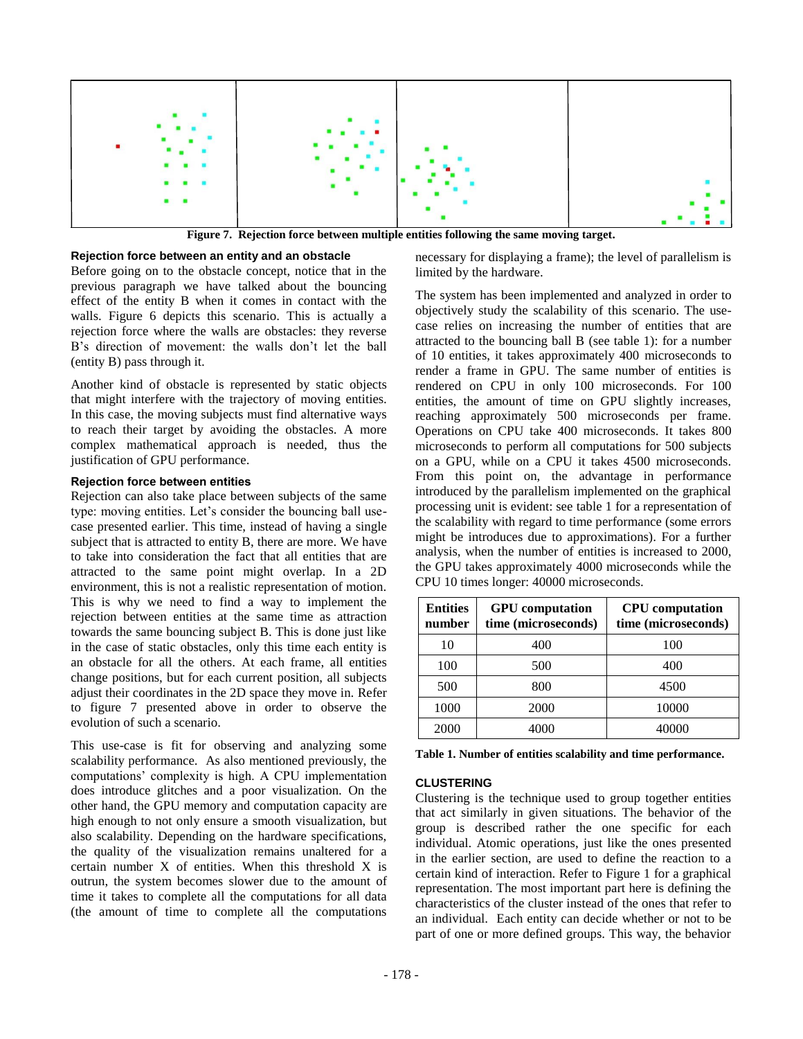

**Figure 7. Rejection force between multiple entities following the same moving target.**

## **Rejection force between an entity and an obstacle**

Before going on to the obstacle concept, notice that in the previous paragraph we have talked about the bouncing effect of the entity B when it comes in contact with the walls. Figure 6 depicts this scenario. This is actually a rejection force where the walls are obstacles: they reverse B's direction of movement: the walls don't let the ball (entity B) pass through it.

Another kind of obstacle is represented by static objects that might interfere with the trajectory of moving entities. In this case, the moving subjects must find alternative ways to reach their target by avoiding the obstacles. A more complex mathematical approach is needed, thus the justification of GPU performance.

#### **Rejection force between entities**

Rejection can also take place between subjects of the same type: moving entities. Let's consider the bouncing ball usecase presented earlier. This time, instead of having a single subject that is attracted to entity B, there are more. We have to take into consideration the fact that all entities that are attracted to the same point might overlap. In a 2D environment, this is not a realistic representation of motion. This is why we need to find a way to implement the rejection between entities at the same time as attraction towards the same bouncing subject B. This is done just like in the case of static obstacles, only this time each entity is an obstacle for all the others. At each frame, all entities change positions, but for each current position, all subjects adjust their coordinates in the 2D space they move in. Refer to figure 7 presented above in order to observe the evolution of such a scenario.

This use-case is fit for observing and analyzing some scalability performance. As also mentioned previously, the computations' complexity is high. A CPU implementation does introduce glitches and a poor visualization. On the other hand, the GPU memory and computation capacity are high enough to not only ensure a smooth visualization, but also scalability. Depending on the hardware specifications, the quality of the visualization remains unaltered for a certain number X of entities. When this threshold X is outrun, the system becomes slower due to the amount of time it takes to complete all the computations for all data (the amount of time to complete all the computations

necessary for displaying a frame); the level of parallelism is limited by the hardware.

The system has been implemented and analyzed in order to objectively study the scalability of this scenario. The usecase relies on increasing the number of entities that are attracted to the bouncing ball B (see table 1): for a number of 10 entities, it takes approximately 400 microseconds to render a frame in GPU. The same number of entities is rendered on CPU in only 100 microseconds. For 100 entities, the amount of time on GPU slightly increases, reaching approximately 500 microseconds per frame. Operations on CPU take 400 microseconds. It takes 800 microseconds to perform all computations for 500 subjects on a GPU, while on a CPU it takes 4500 microseconds. From this point on, the advantage in performance introduced by the parallelism implemented on the graphical processing unit is evident: see table 1 for a representation of the scalability with regard to time performance (some errors might be introduces due to approximations). For a further analysis, when the number of entities is increased to 2000, the GPU takes approximately 4000 microseconds while the CPU 10 times longer: 40000 microseconds.

| <b>Entities</b><br>number | <b>GPU</b> computation<br>time (microseconds) | <b>CPU</b> computation<br>time (microseconds) |
|---------------------------|-----------------------------------------------|-----------------------------------------------|
| 10                        | 400                                           | 100                                           |
| 100                       | 500                                           | 400                                           |
| 500                       | 800                                           | 4500                                          |
| 1000                      | 2000                                          | 10000                                         |
| 2000                      | 4000                                          | 40000                                         |

**Table 1. Number of entities scalability and time performance.**

## **CLUSTERING**

Clustering is the technique used to group together entities that act similarly in given situations. The behavior of the group is described rather the one specific for each individual. Atomic operations, just like the ones presented in the earlier section, are used to define the reaction to a certain kind of interaction. Refer to Figure 1 for a graphical representation. The most important part here is defining the characteristics of the cluster instead of the ones that refer to an individual. Each entity can decide whether or not to be part of one or more defined groups. This way, the behavior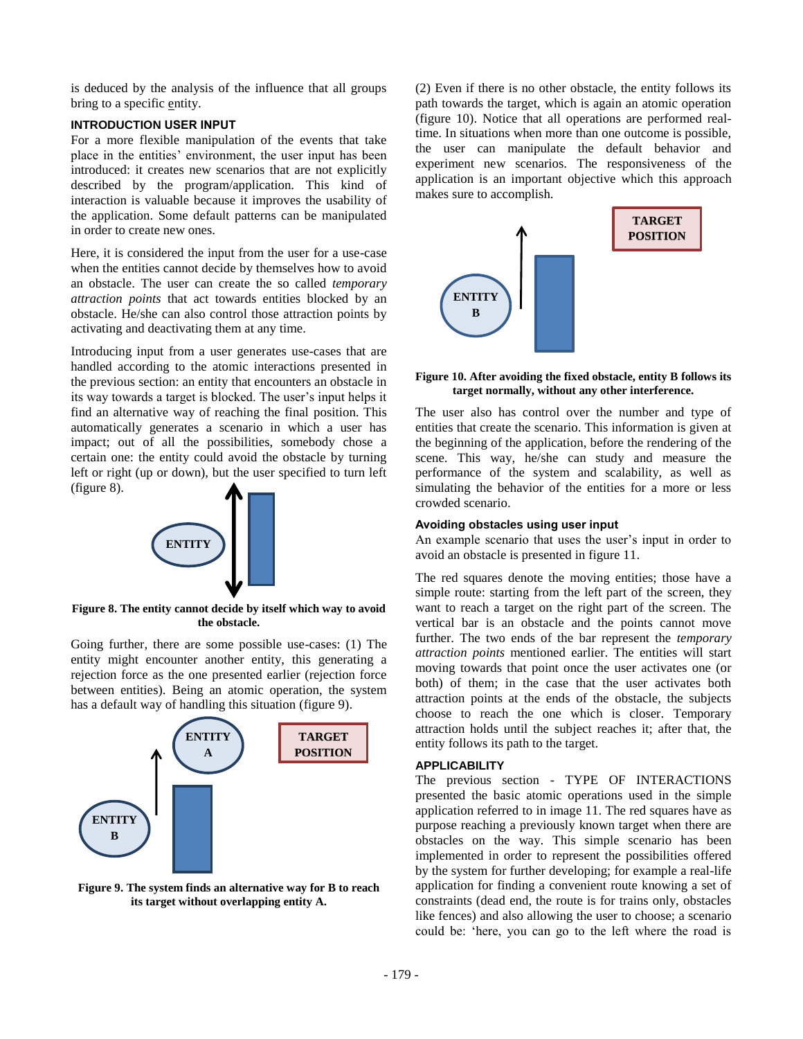is deduced by the analysis of the influence that all groups bring to a specific entity.

## **INTRODUCTION USER INPUT**

For a more flexible manipulation of the events that take place in the entities' environment, the user input has been introduced: it creates new scenarios that are not explicitly described by the program/application. This kind of interaction is valuable because it improves the usability of the application. Some default patterns can be manipulated in order to create new ones.

Here, it is considered the input from the user for a use-case when the entities cannot decide by themselves how to avoid an obstacle. The user can create the so called *temporary attraction points* that act towards entities blocked by an obstacle. He/she can also control those attraction points by activating and deactivating them at any time.

Introducing input from a user generates use-cases that are handled according to the atomic interactions presented in the previous section: an entity that encounters an obstacle in its way towards a target is blocked. The user's input helps it find an alternative way of reaching the final position. This automatically generates a scenario in which a user has impact; out of all the possibilities, somebody chose a certain one: the entity could avoid the obstacle by turning left or right (up or down), but the user specified to turn left (figure 8).



**Figure 8. The entity cannot decide by itself which way to avoid the obstacle.**

Going further, there are some possible use-cases: (1) The entity might encounter another entity, this generating a rejection force as the one presented earlier (rejection force between entities). Being an atomic operation, the system has a default way of handling this situation (figure 9).



**Figure 9. The system finds an alternative way for B to reach its target without overlapping entity A.**

(2) Even if there is no other obstacle, the entity follows its path towards the target, which is again an atomic operation (figure 10). Notice that all operations are performed realtime. In situations when more than one outcome is possible, the user can manipulate the default behavior and experiment new scenarios. The responsiveness of the application is an important objective which this approach makes sure to accomplish.



## **Figure 10. After avoiding the fixed obstacle, entity B follows its target normally, without any other interference.**

The user also has control over the number and type of entities that create the scenario. This information is given at the beginning of the application, before the rendering of the scene. This way, he/she can study and measure the performance of the system and scalability, as well as simulating the behavior of the entities for a more or less crowded scenario.

## **Avoiding obstacles using user input**

An example scenario that uses the user's input in order to avoid an obstacle is presented in figure 11.

The red squares denote the moving entities; those have a simple route: starting from the left part of the screen, they want to reach a target on the right part of the screen. The vertical bar is an obstacle and the points cannot move further. The two ends of the bar represent the *temporary attraction points* mentioned earlier. The entities will start moving towards that point once the user activates one (or both) of them; in the case that the user activates both attraction points at the ends of the obstacle, the subjects choose to reach the one which is closer. Temporary attraction holds until the subject reaches it; after that, the entity follows its path to the target.

# **APPLICABILITY**

The previous section - TYPE OF INTERACTIONS presented the basic atomic operations used in the simple application referred to in image 11. The red squares have as purpose reaching a previously known target when there are obstacles on the way. This simple scenario has been implemented in order to represent the possibilities offered by the system for further developing; for example a real-life application for finding a convenient route knowing a set of constraints (dead end, the route is for trains only, obstacles like fences) and also allowing the user to choose; a scenario could be: 'here, you can go to the left where the road is